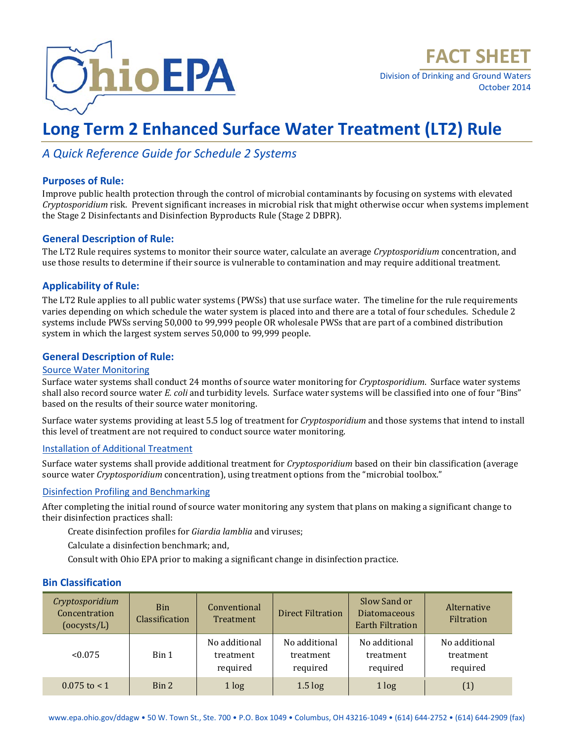

Division of Drinking and Ground Waters October 2014

# **Long Term 2 Enhanced Surface Water Treatment (LT2) Rule**

### *A Quick Reference Guide for Schedule 2 Systems*

#### **Purposes of Rule:**

Improve public health protection through the control of microbial contaminants by focusing on systems with elevated *Cryptosporidium* risk. Prevent significant increases in microbial risk that might otherwise occur when systems implement the Stage 2 Disinfectants and Disinfection Byproducts Rule (Stage 2 DBPR).

#### **General Description of Rule:**

The LT2 Rule requires systems to monitor their source water, calculate an average *Cryptosporidium* concentration, and use those results to determine if their source is vulnerable to contamination and may require additional treatment.

#### **Applicability of Rule:**

The LT2 Rule applies to all public water systems (PWSs) that use surface water. The timeline for the rule requirements varies depending on which schedule the water system is placed into and there are a total of four schedules. Schedule 2 systems include PWSs serving 50,000 to 99,999 people OR wholesale PWSs that are part of a combined distribution system in which the largest system serves 50,000 to 99,999 people.

#### **General Description of Rule:**

#### Source Water Monitoring

Surface water systems shall conduct 24 months of source water monitoring for *Cryptosporidium*. Surface water systems shall also record source water *E. coli* and turbidity levels. Surface water systems will be classified into one of four "Bins" based on the results of their source water monitoring.

Surface water systems providing at least 5.5 log of treatment for *Cryptosporidium* and those systems that intend to install this level of treatment are not required to conduct source water monitoring.

#### Installation of Additional Treatment

Surface water systems shall provide additional treatment for *Cryptosporidium* based on their bin classification (average source water *Cryptosporidium* concentration), using treatment options from the "microbial toolbox."

#### Disinfection Profiling and Benchmarking

After completing the initial round of source water monitoring any system that plans on making a significant change to their disinfection practices shall:

Create disinfection profiles for *Giardia lamblia* and viruses;

Calculate a disinfection benchmark; and,

Consult with Ohio EPA prior to making a significant change in disinfection practice.

#### **Bin Classification**

| Cryptosporidium<br>Concentration<br>(oocysts/L) | <b>Bin</b><br>Classification | Conventional<br>Treatment              | <b>Direct Filtration</b>               | Slow Sand or<br><b>Diatomaceous</b><br><b>Earth Filtration</b> | Alternative<br>Filtration              |
|-------------------------------------------------|------------------------------|----------------------------------------|----------------------------------------|----------------------------------------------------------------|----------------------------------------|
| < 0.075                                         | Bin 1                        | No additional<br>treatment<br>required | No additional<br>treatment<br>required | No additional<br>treatment<br>required                         | No additional<br>treatment<br>required |
| $0.075$ to $< 1$                                | Bin 2                        | 1 log                                  | $1.5 \log$                             | 1 log                                                          | (1)                                    |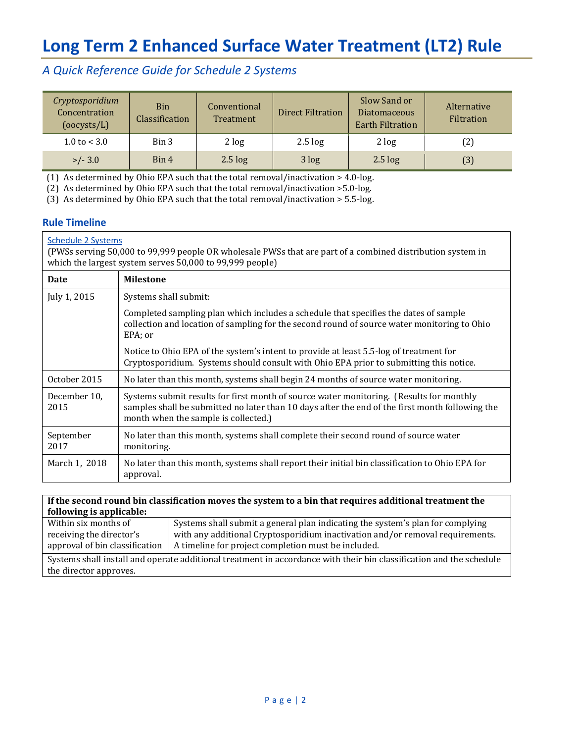## **Long Term 2 Enhanced Surface Water Treatment (LT2) Rule**

### *A Quick Reference Guide for Schedule 2 Systems*

| Cryptosporidium<br>Concentration<br>(ocysts/L) | <b>Bin</b><br>Classification | Conventional<br>Treatment | <b>Direct Filtration</b> | Slow Sand or<br><b>Diatomaceous</b><br><b>Earth Filtration</b> | Alternative<br>Filtration |
|------------------------------------------------|------------------------------|---------------------------|--------------------------|----------------------------------------------------------------|---------------------------|
| $1.0 \text{ to } 3.0$                          | Bin 3                        | 2 log                     | $2.5 \log$               | 2 log                                                          | (2)                       |
| $>/- 3.0$                                      | Bin 4                        | $2.5 \log$                | 3 log                    | $2.5 \log$                                                     | (3)                       |

(1) As determined by Ohio EPA such that the total removal/inactivation > 4.0-log.

(2) As determined by Ohio EPA such that the total removal/inactivation >5.0-log.

(3) As determined by Ohio EPA such that the total removal/inactivation > 5.5-log.

#### **Rule Timeline**

#### Schedule 2 Systems

(PWSs serving 50,000 to 99,999 people OR wholesale PWSs that are part of a combined distribution system in which the largest system serves 50,000 to 99,999 people)

| Date                 | <b>Milestone</b>                                                                                                                                                                                                                   |
|----------------------|------------------------------------------------------------------------------------------------------------------------------------------------------------------------------------------------------------------------------------|
| July 1, 2015         | Systems shall submit:                                                                                                                                                                                                              |
|                      | Completed sampling plan which includes a schedule that specifies the dates of sample<br>collection and location of sampling for the second round of source water monitoring to Ohio<br>EPA: or                                     |
|                      | Notice to Ohio EPA of the system's intent to provide at least 5.5-log of treatment for<br>Cryptosporidium. Systems should consult with Ohio EPA prior to submitting this notice.                                                   |
| October 2015         | No later than this month, systems shall begin 24 months of source water monitoring.                                                                                                                                                |
| December 10.<br>2015 | Systems submit results for first month of source water monitoring. (Results for monthly<br>samples shall be submitted no later than 10 days after the end of the first month following the<br>month when the sample is collected.) |
| September<br>2017    | No later than this month, systems shall complete their second round of source water<br>monitoring.                                                                                                                                 |
| March 1, 2018        | No later than this month, systems shall report their initial bin classification to Ohio EPA for<br>approval.                                                                                                                       |

#### **If the second round bin classification moves the system to a bin that requires additional treatment the following is applicable:**

| Within six months of                                                                                                | Systems shall submit a general plan indicating the system's plan for complying                 |  |
|---------------------------------------------------------------------------------------------------------------------|------------------------------------------------------------------------------------------------|--|
| receiving the director's                                                                                            | with any additional Cryptosporidium inactivation and/or removal requirements.                  |  |
|                                                                                                                     | approval of bin classification $\parallel$ A timeline for project completion must be included. |  |
| Cyclome chall install and operate additional treatment in accordance with their bin classification and the schodule |                                                                                                |  |

Systems shall install and operate additional treatment in accordance with their bin classification and the schedule the director approves.